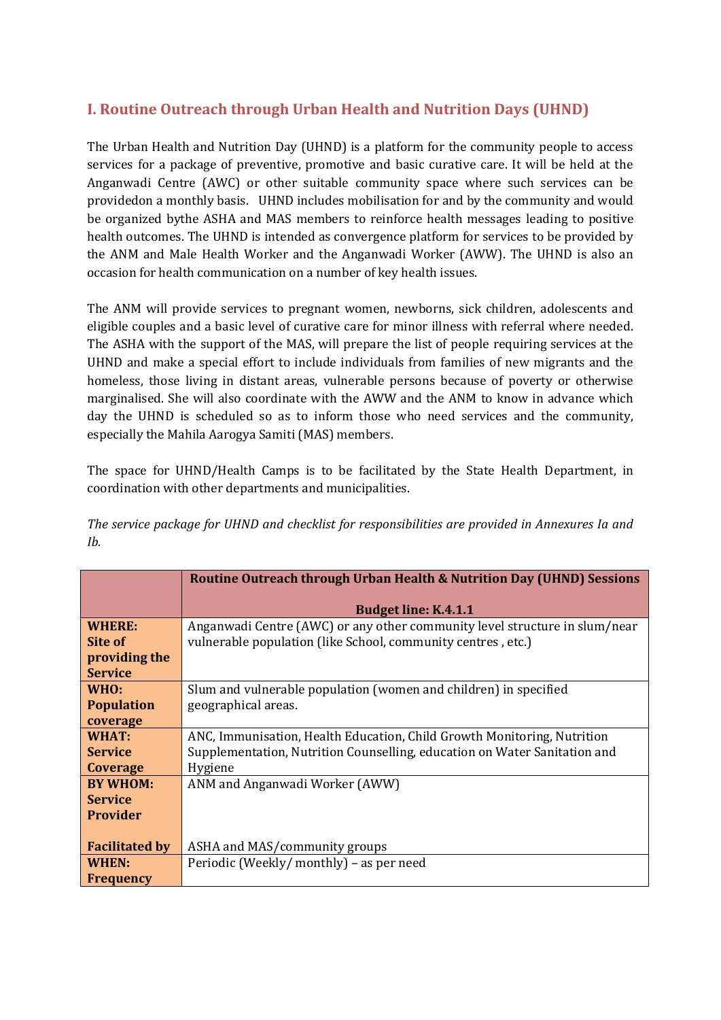# **I. Routine Outreach through Urban Health and Nutrition Days (UHND)**

The Urban Health and Nutrition Day (UHND) is a platform for the community people to access services for a package of preventive, promotive and basic curative care. It will be held at the Anganwadi Centre (AWC) or other suitable community space where such services can be providedon a monthly basis. UHND includes mobilisation for and by the community and would be organized bythe ASHA and MAS members to reinforce health messages leading to positive health outcomes. The UHND is intended as convergence platform for services to be provided by the ANM and Male Health Worker and the Anganwadi Worker (AWW). The UHND is also an occasion for health communication on a number of key health issues.

The ANM will provide services to pregnant women, newborns, sick children, adolescents and eligible couples and a basic level of curative care for minor illness with referral where needed. The ASHA with the support of the MAS, will prepare the list of people requiring services at the UHND and make a special effort to include individuals from families of new migrants and the homeless, those living in distant areas, vulnerable persons because of poverty or otherwise marginalised. She will also coordinate with the AWW and the ANM to know in advance which day the UHND is scheduled so as to inform those who need services and the community, especially the Mahila Aarogya Samiti (MAS) members.

The space for UHND/Health Camps is to be facilitated by the State Health Department, in coordination with other departments and municipalities.

*The service package for UHND and checklist for responsibilities are provided in Annexures Ia and Ib.*

|                       | Routine Outreach through Urban Health & Nutrition Day (UHND) Sessions      |  |  |
|-----------------------|----------------------------------------------------------------------------|--|--|
|                       |                                                                            |  |  |
|                       | <b>Budget line: K.4.1.1</b>                                                |  |  |
| <b>WHERE:</b>         | Anganwadi Centre (AWC) or any other community level structure in slum/near |  |  |
| Site of               | vulnerable population (like School, community centres, etc.)               |  |  |
| providing the         |                                                                            |  |  |
| <b>Service</b>        |                                                                            |  |  |
| WHO:                  | Slum and vulnerable population (women and children) in specified           |  |  |
| <b>Population</b>     | geographical areas.                                                        |  |  |
| coverage              |                                                                            |  |  |
| WHAT:                 | ANC, Immunisation, Health Education, Child Growth Monitoring, Nutrition    |  |  |
| <b>Service</b>        | Supplementation, Nutrition Counselling, education on Water Sanitation and  |  |  |
| Coverage              | Hygiene                                                                    |  |  |
| <b>BY WHOM:</b>       | ANM and Anganwadi Worker (AWW)                                             |  |  |
| <b>Service</b>        |                                                                            |  |  |
| <b>Provider</b>       |                                                                            |  |  |
|                       |                                                                            |  |  |
| <b>Facilitated by</b> | ASHA and MAS/community groups                                              |  |  |
| WHEN:                 | Periodic (Weekly/monthly) – as per need                                    |  |  |
| Frequency             |                                                                            |  |  |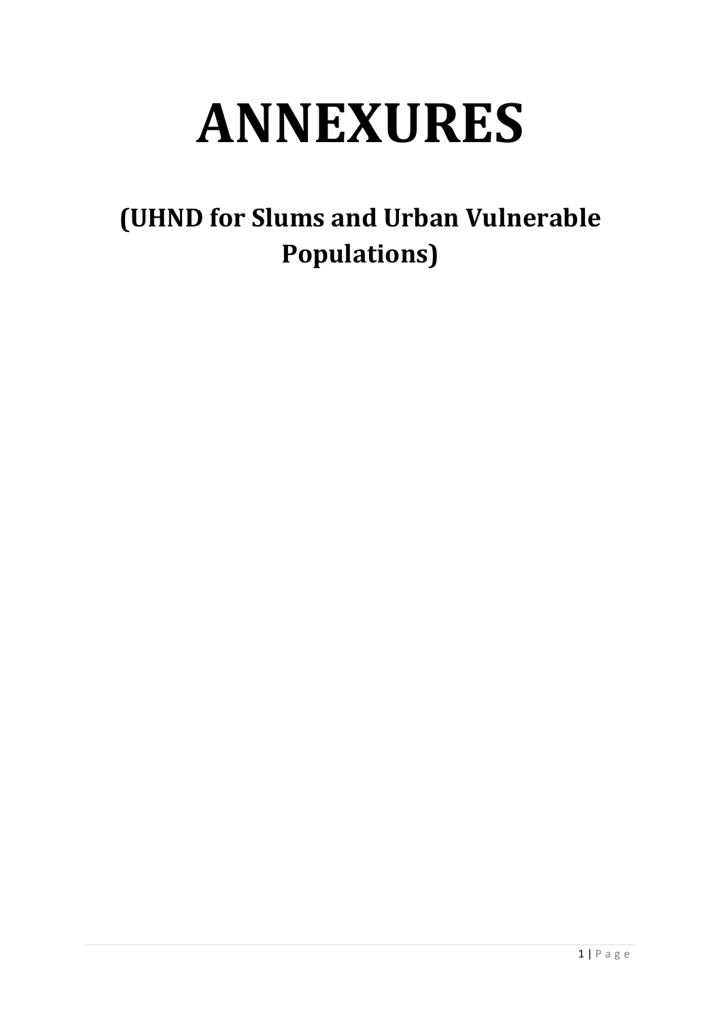# **ANNEXURES**

**(UHND for Slums and Urban Vulnerable Populations)**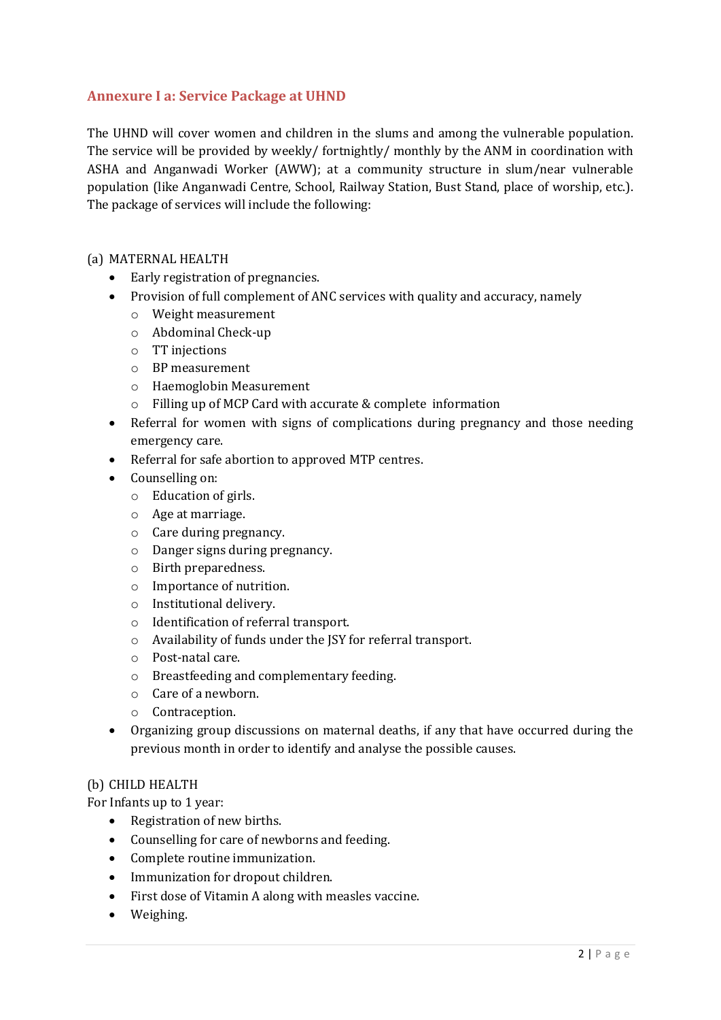# **Annexure I a: Service Package at UHND**

The UHND will cover women and children in the slums and among the vulnerable population. The service will be provided by weekly/ fortnightly/ monthly by the ANM in coordination with ASHA and Anganwadi Worker (AWW); at a community structure in slum/near vulnerable population (like Anganwadi Centre, School, Railway Station, Bust Stand, place of worship, etc.). The package of services will include the following:

# (a) MATERNAL HEALTH

- Early registration of pregnancies.
- Provision of full complement of ANC services with quality and accuracy, namely
	- o Weight measurement
	- o Abdominal Check-up
	- o TT injections
	- o BP measurement
	- o Haemoglobin Measurement
	- o Filling up of MCP Card with accurate & complete information
- Referral for women with signs of complications during pregnancy and those needing emergency care.
- Referral for safe abortion to approved MTP centres.
- Counselling on:
	- o Education of girls.
	- o Age at marriage.
	- o Care during pregnancy.
	- o Danger signs during pregnancy.
	- o Birth preparedness.
	- o Importance of nutrition.
	- o Institutional delivery.
	- o Identification of referral transport.
	- o Availability of funds under the JSY for referral transport.
	- o Post-natal care.
	- o Breastfeeding and complementary feeding.
	- o Care of a newborn.
	- o Contraception.
- Organizing group discussions on maternal deaths, if any that have occurred during the previous month in order to identify and analyse the possible causes.

# (b) CHILD HEALTH

For Infants up to 1 year:

- Registration of new births.
- Counselling for care of newborns and feeding.
- Complete routine immunization.
- Immunization for dropout children.
- First dose of Vitamin A along with measles vaccine.
- Weighing.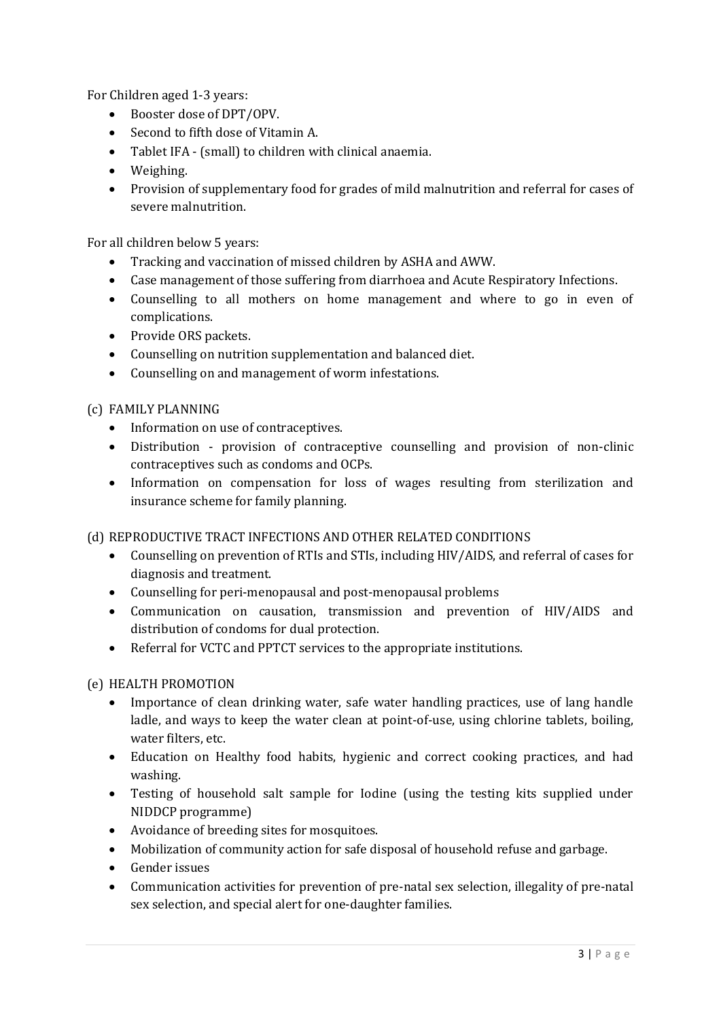For Children aged 1-3 years:

- Booster dose of DPT/OPV.
- Second to fifth dose of Vitamin A.
- Tablet IFA (small) to children with clinical anaemia.
- Weighing.
- Provision of supplementary food for grades of mild malnutrition and referral for cases of severe malnutrition.

For all children below 5 years:

- Tracking and vaccination of missed children by ASHA and AWW.
- Case management of those suffering from diarrhoea and Acute Respiratory Infections.
- Counselling to all mothers on home management and where to go in even of complications.
- Provide ORS packets.
- Counselling on nutrition supplementation and balanced diet.
- Counselling on and management of worm infestations.

# (c) FAMILY PLANNING

- Information on use of contraceptives.
- Distribution provision of contraceptive counselling and provision of non-clinic contraceptives such as condoms and OCPs.
- Information on compensation for loss of wages resulting from sterilization and insurance scheme for family planning.

# (d) REPRODUCTIVE TRACT INFECTIONS AND OTHER RELATED CONDITIONS

- Counselling on prevention of RTIs and STIs, including HIV/AIDS, and referral of cases for diagnosis and treatment.
- Counselling for peri-menopausal and post-menopausal problems
- Communication on causation, transmission and prevention of HIV/AIDS and distribution of condoms for dual protection.
- Referral for VCTC and PPTCT services to the appropriate institutions.

# (e) HEALTH PROMOTION

- Importance of clean drinking water, safe water handling practices, use of lang handle ladle, and ways to keep the water clean at point-of-use, using chlorine tablets, boiling, water filters, etc.
- Education on Healthy food habits, hygienic and correct cooking practices, and had washing.
- Testing of household salt sample for Iodine (using the testing kits supplied under NIDDCP programme)
- Avoidance of breeding sites for mosquitoes.
- Mobilization of community action for safe disposal of household refuse and garbage.
- Gender issues
- Communication activities for prevention of pre-natal sex selection, illegality of pre-natal sex selection, and special alert for one-daughter families.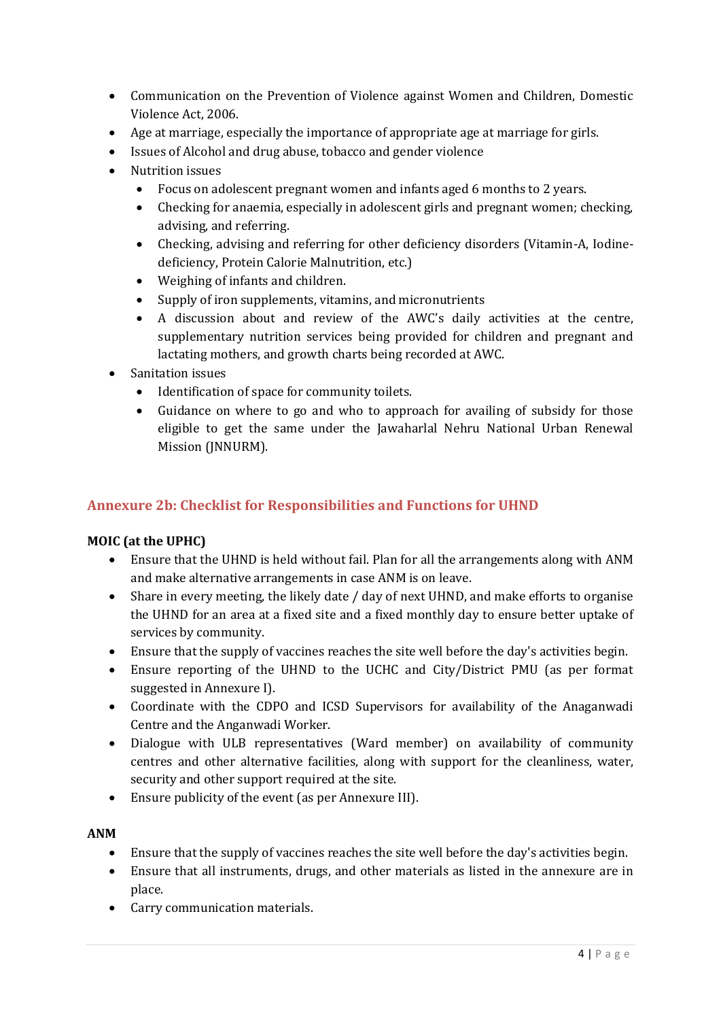- Communication on the Prevention of Violence against Women and Children, Domestic Violence Act, 2006.
- Age at marriage, especially the importance of appropriate age at marriage for girls.
- Issues of Alcohol and drug abuse, tobacco and gender violence
- Nutrition issues
	- Focus on adolescent pregnant women and infants aged 6 months to 2 years.
	- Checking for anaemia, especially in adolescent girls and pregnant women; checking, advising, and referring.
	- Checking, advising and referring for other deficiency disorders (Vitamin-A, Iodinedeficiency, Protein Calorie Malnutrition, etc.)
	- Weighing of infants and children.
	- Supply of iron supplements, vitamins, and micronutrients
	- A discussion about and review of the AWC's daily activities at the centre, supplementary nutrition services being provided for children and pregnant and lactating mothers, and growth charts being recorded at AWC.
- Sanitation issues
	- Identification of space for community toilets.
	- Guidance on where to go and who to approach for availing of subsidy for those eligible to get the same under the Jawaharlal Nehru National Urban Renewal Mission (JNNURM).

# **Annexure 2b: Checklist for Responsibilities and Functions for UHND**

# **MOIC (at the UPHC)**

- Ensure that the UHND is held without fail. Plan for all the arrangements along with ANM and make alternative arrangements in case ANM is on leave.
- Share in every meeting, the likely date / day of next UHND, and make efforts to organise the UHND for an area at a fixed site and a fixed monthly day to ensure better uptake of services by community.
- Ensure that the supply of vaccines reaches the site well before the day's activities begin.
- Ensure reporting of the UHND to the UCHC and City/District PMU (as per format suggested in Annexure I).
- Coordinate with the CDPO and ICSD Supervisors for availability of the Anaganwadi Centre and the Anganwadi Worker.
- Dialogue with ULB representatives (Ward member) on availability of community centres and other alternative facilities, along with support for the cleanliness, water, security and other support required at the site.
- Ensure publicity of the event (as per Annexure III).

# **ANM**

- Ensure that the supply of vaccines reaches the site well before the day's activities begin.
- Ensure that all instruments, drugs, and other materials as listed in the annexure are in place.
- Carry communication materials.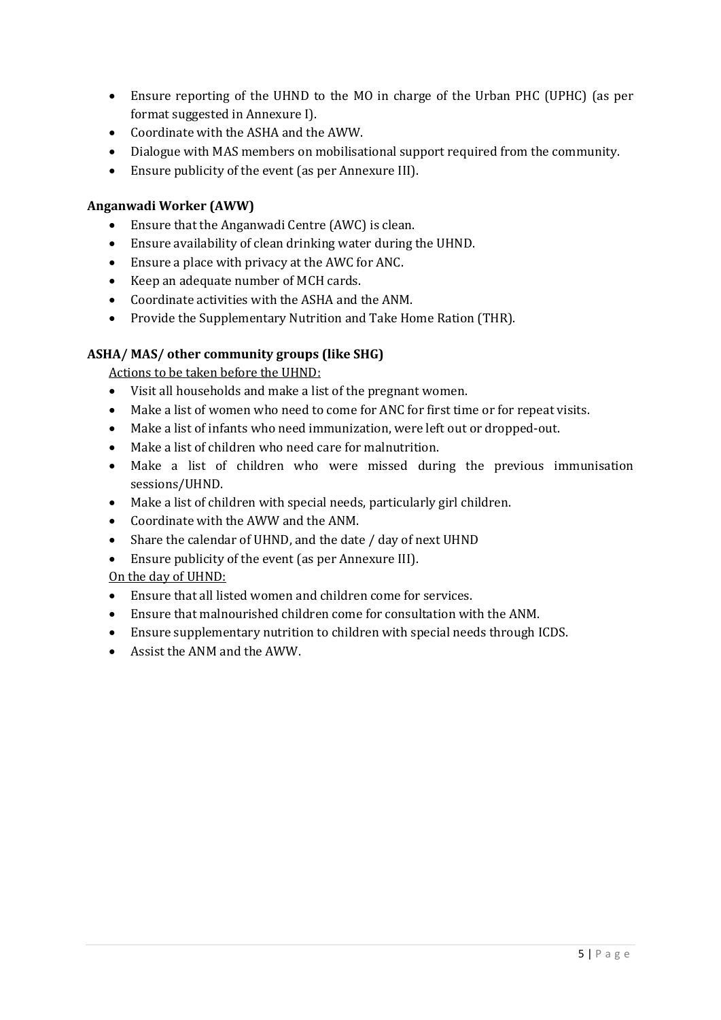- Ensure reporting of the UHND to the MO in charge of the Urban PHC (UPHC) (as per format suggested in Annexure I).
- Coordinate with the ASHA and the AWW.
- Dialogue with MAS members on mobilisational support required from the community.
- Ensure publicity of the event (as per Annexure III).

# **Anganwadi Worker (AWW)**

- Ensure that the Anganwadi Centre (AWC) is clean.
- Ensure availability of clean drinking water during the UHND.
- Ensure a place with privacy at the AWC for ANC.
- Keep an adequate number of MCH cards.
- Coordinate activities with the ASHA and the ANM.
- Provide the Supplementary Nutrition and Take Home Ration (THR).

# **ASHA/ MAS/ other community groups (like SHG)**

Actions to be taken before the UHND:

- Visit all households and make a list of the pregnant women.
- Make a list of women who need to come for ANC for first time or for repeat visits.
- Make a list of infants who need immunization, were left out or dropped-out.
- Make a list of children who need care for malnutrition.
- Make a list of children who were missed during the previous immunisation sessions/UHND.
- Make a list of children with special needs, particularly girl children.
- Coordinate with the AWW and the ANM.
- Share the calendar of UHND, and the date / day of next UHND
- Ensure publicity of the event (as per Annexure III).

# On the day of UHND:

- Ensure that all listed women and children come for services.
- Ensure that malnourished children come for consultation with the ANM.
- Ensure supplementary nutrition to children with special needs through ICDS.
- Assist the ANM and the AWW.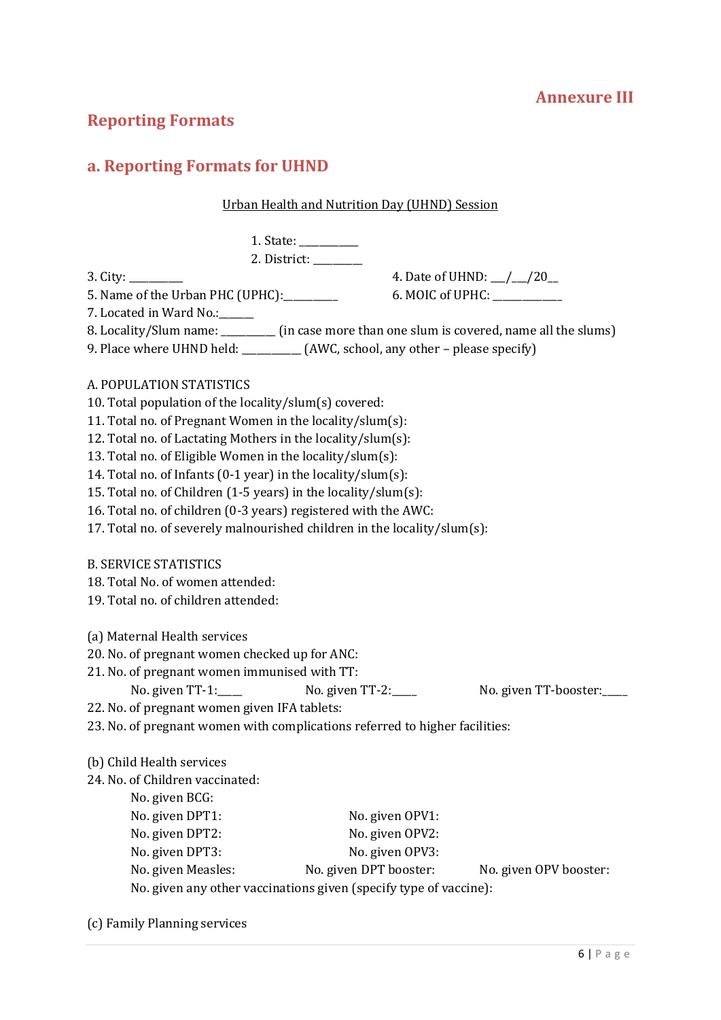# **Annexure III**

# **Reporting Formats**

# **a. Reporting Formats for UHND**

#### Urban Health and Nutrition Day (UHND) Session

1. State: \_\_\_\_\_\_\_\_\_\_\_\_ 2. District: \_\_\_\_\_\_\_\_\_\_

3. City: \_\_\_\_\_\_\_\_\_\_\_ 4. Date of UHND: \_\_\_/\_\_\_/20\_\_

5. Name of the Urban PHC (UPHC): 6. MOIC of UPHC:

7. Located in Ward No.:

- 8. Locality/Slum name: \_\_\_\_\_\_\_\_\_\_ (in case more than one slum is covered, name all the slums)
- 9. Place where UHND held: \_\_\_\_\_\_\_\_\_\_\_\_ (AWC, school, any other please specify)

# A. POPULATION STATISTICS

10. Total population of the locality/slum(s) covered:

11. Total no. of Pregnant Women in the locality/slum(s):

12. Total no. of Lactating Mothers in the locality/slum(s):

13. Total no. of Eligible Women in the locality/slum(s):

14. Total no. of Infants (0-1 year) in the locality/slum(s):

15. Total no. of Children (1-5 years) in the locality/slum(s):

16. Total no. of children (0-3 years) registered with the AWC:

17. Total no. of severely malnourished children in the locality/slum(s):

|  |  | <b>B. SERVICE STATISTICS</b> |  |
|--|--|------------------------------|--|
|--|--|------------------------------|--|

18. Total No. of women attended:

19. Total no. of children attended:

(a) Maternal Health services

20. No. of pregnant women checked up for ANC:

21. No. of pregnant women immunised with TT:

No. given TT-1:\_\_\_\_ No. given TT-2:\_\_\_\_ No. given TT-booster:\_\_\_

22. No. of pregnant women given IFA tablets:

23. No. of pregnant women with complications referred to higher facilities:

#### (b) Child Health services

24. No. of Children vaccinated:

No. given BCG: No. given DPT1: No. given OPV1: No. given DPT2: No. given OPV2: No. given DPT3: No. given OPV3: No. given Measles: No. given DPT booster: No. given OPV booster: No. given any other vaccinations given (specify type of vaccine):

(c) Family Planning services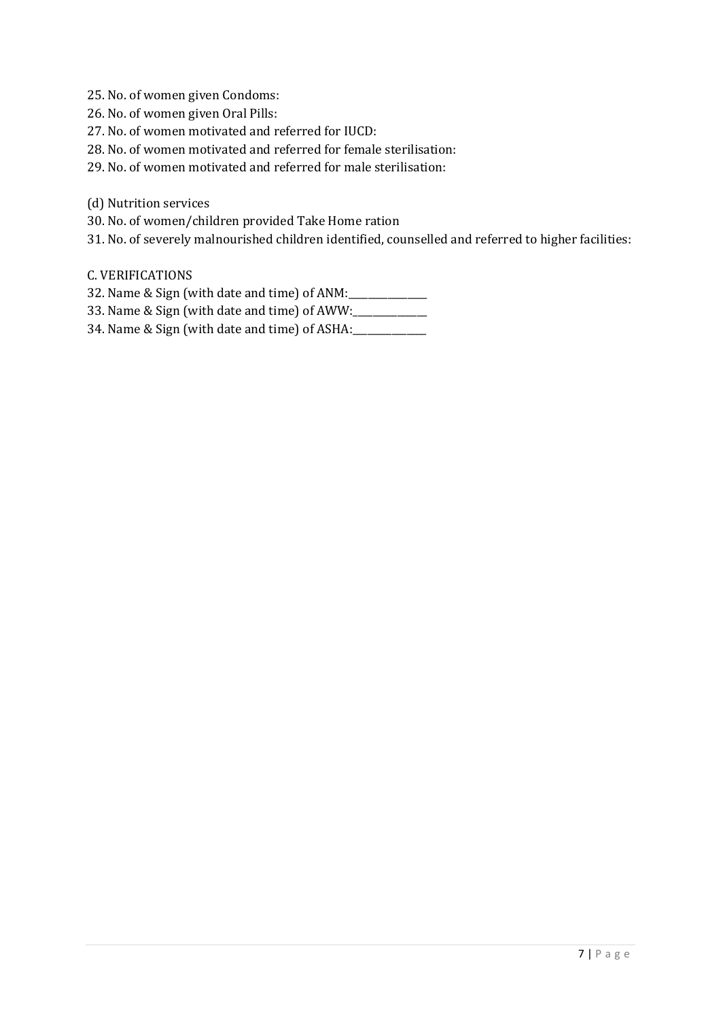- 25. No. of women given Condoms:
- 26. No. of women given Oral Pills:
- 27. No. of women motivated and referred for IUCD:
- 28. No. of women motivated and referred for female sterilisation:
- 29. No. of women motivated and referred for male sterilisation:
- (d) Nutrition services
- 30. No. of women/children provided Take Home ration
- 31. No. of severely malnourished children identified, counselled and referred to higher facilities:
- C. VERIFICATIONS
- 32. Name & Sign (with date and time) of ANM:
- 33. Name & Sign (with date and time) of AWW:\_\_\_\_\_\_\_\_\_\_\_\_\_\_\_
- 34. Name & Sign (with date and time) of ASHA: